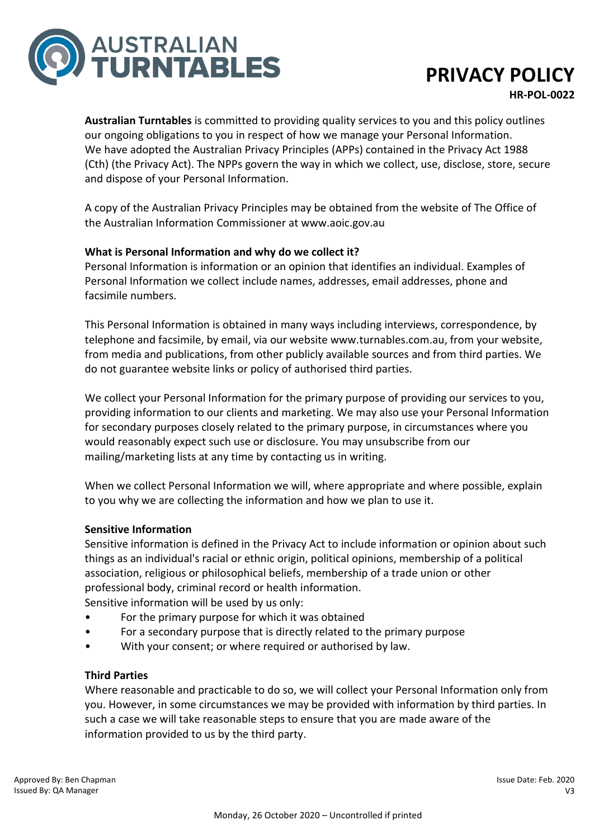

# **PRIVACY POLICY**

**HR-POL-0022**

**Australian Turntables** is committed to providing quality services to you and this policy outlines our ongoing obligations to you in respect of how we manage your Personal Information. We have adopted the Australian Privacy Principles (APPs) contained in the Privacy Act 1988 (Cth) (the Privacy Act). The NPPs govern the way in which we collect, use, disclose, store, secure and dispose of your Personal Information.

A copy of the Australian Privacy Principles may be obtained from the website of The Office of the Australian Information Commissioner at www.aoic.gov.au

## **What is Personal Information and why do we collect it?**

Personal Information is information or an opinion that identifies an individual. Examples of Personal Information we collect include names, addresses, email addresses, phone and facsimile numbers.

This Personal Information is obtained in many ways including interviews, correspondence, by telephone and facsimile, by email, via our website www.turnables.com.au, from your website, from media and publications, from other publicly available sources and from third parties. We do not guarantee website links or policy of authorised third parties.

We collect your Personal Information for the primary purpose of providing our services to you, providing information to our clients and marketing. We may also use your Personal Information for secondary purposes closely related to the primary purpose, in circumstances where you would reasonably expect such use or disclosure. You may unsubscribe from our mailing/marketing lists at any time by contacting us in writing.

When we collect Personal Information we will, where appropriate and where possible, explain to you why we are collecting the information and how we plan to use it.

## **Sensitive Information**

Sensitive information is defined in the Privacy Act to include information or opinion about such things as an individual's racial or ethnic origin, political opinions, membership of a political association, religious or philosophical beliefs, membership of a trade union or other professional body, criminal record or health information.

Sensitive information will be used by us only:

- For the primary purpose for which it was obtained
- For a secondary purpose that is directly related to the primary purpose
- With your consent; or where required or authorised by law.

## **Third Parties**

Where reasonable and practicable to do so, we will collect your Personal Information only from you. However, in some circumstances we may be provided with information by third parties. In such a case we will take reasonable steps to ensure that you are made aware of the information provided to us by the third party.